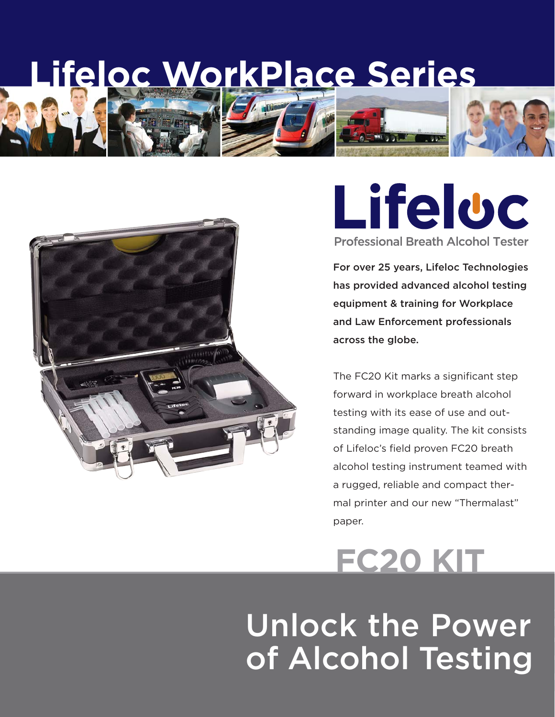**Lifeloc WorkPlace Series**



### Lifeluc **Professional Breath Alcohol Tester**

For over 25 years, Lifeloc Technologies has provided advanced alcohol testing equipment & training for Workplace and Law Enforcement professionals across the globe.

The FC20 Kit marks a significant step forward in workplace breath alcohol testing with its ease of use and outstanding image quality. The kit consists of Lifeloc's field proven FC20 breath alcohol testing instrument teamed with a rugged, reliable and compact thermal printer and our new "Thermalast" paper.

# **FC20 KIT**

# Unlock the Power of Alcohol Testing